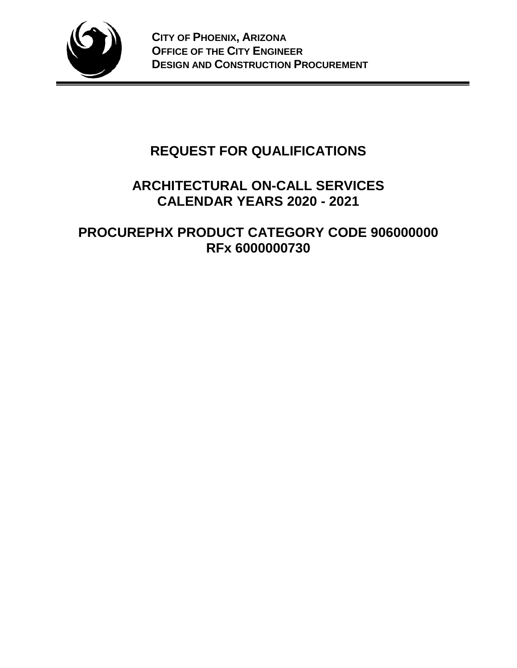

# **REQUEST FOR QUALIFICATIONS**

## **ARCHITECTURAL ON-CALL SERVICES CALENDAR YEARS 2020 - 2021**

## **PROCUREPHX PRODUCT CATEGORY CODE 906000000 RFx 6000000730**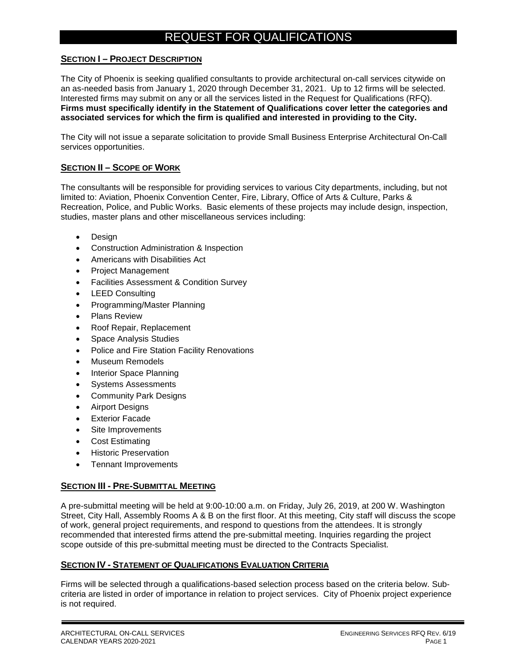### REQUEST FOR QUALIFICATIONS

#### **SECTION I – PROJECT DESCRIPTION**

The City of Phoenix is seeking qualified consultants to provide architectural on-call services citywide on an as-needed basis from January 1, 2020 through December 31, 2021. Up to 12 firms will be selected. Interested firms may submit on any or all the services listed in the Request for Qualifications (RFQ). **Firms must specifically identify in the Statement of Qualifications cover letter the categories and associated services for which the firm is qualified and interested in providing to the City.**

The City will not issue a separate solicitation to provide Small Business Enterprise Architectural On-Call services opportunities.

#### **SECTION II – SCOPE OF WORK**

The consultants will be responsible for providing services to various City departments, including, but not limited to: Aviation, Phoenix Convention Center, Fire, Library, Office of Arts & Culture, Parks & Recreation, Police, and Public Works. Basic elements of these projects may include design, inspection, studies, master plans and other miscellaneous services including:

- Design
- Construction Administration & Inspection
- Americans with Disabilities Act
- Project Management
- Facilities Assessment & Condition Survey
- LEED Consulting
- Programming/Master Planning
- Plans Review
- Roof Repair, Replacement
- Space Analysis Studies
- Police and Fire Station Facility Renovations
- Museum Remodels
- Interior Space Planning
- Systems Assessments
- Community Park Designs
- Airport Designs
- Exterior Facade
- Site Improvements
- Cost Estimating
- Historic Preservation
- Tennant Improvements

#### **SECTION III - PRE-SUBMITTAL MEETING**

A pre-submittal meeting will be held at 9:00-10:00 a.m. on Friday, July 26, 2019, at 200 W. Washington Street, City Hall, Assembly Rooms A & B on the first floor. At this meeting, City staff will discuss the scope of work, general project requirements, and respond to questions from the attendees. It is strongly recommended that interested firms attend the pre-submittal meeting. Inquiries regarding the project scope outside of this pre-submittal meeting must be directed to the Contracts Specialist.

#### **SECTION IV - STATEMENT OF QUALIFICATIONS EVALUATION CRITERIA**

Firms will be selected through a qualifications-based selection process based on the criteria below. Subcriteria are listed in order of importance in relation to project services. City of Phoenix project experience is not required.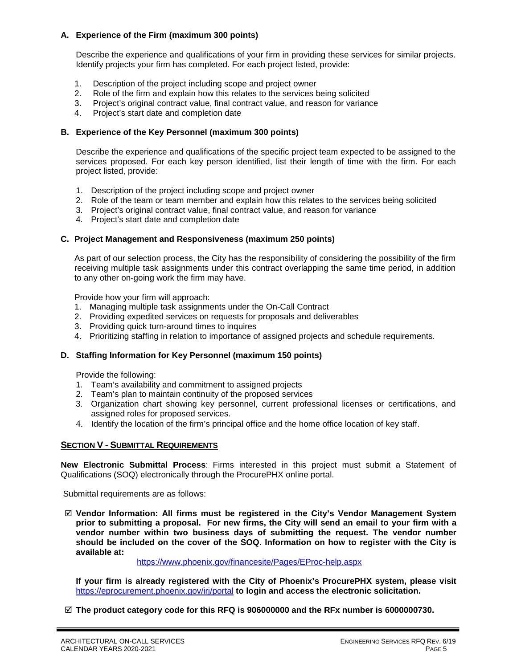#### **A. Experience of the Firm (maximum 300 points)**

Describe the experience and qualifications of your firm in providing these services for similar projects. Identify projects your firm has completed. For each project listed, provide:

- 1. Description of the project including scope and project owner
- 2. Role of the firm and explain how this relates to the services being solicited
- 3. Project's original contract value, final contract value, and reason for variance
- 4. Project's start date and completion date

#### **B. Experience of the Key Personnel (maximum 300 points)**

Describe the experience and qualifications of the specific project team expected to be assigned to the services proposed. For each key person identified, list their length of time with the firm. For each project listed, provide:

- 1. Description of the project including scope and project owner
- 2. Role of the team or team member and explain how this relates to the services being solicited
- 3. Project's original contract value, final contract value, and reason for variance
- 4. Project's start date and completion date

#### **C. Project Management and Responsiveness (maximum 250 points)**

As part of our selection process, the City has the responsibility of considering the possibility of the firm receiving multiple task assignments under this contract overlapping the same time period, in addition to any other on-going work the firm may have.

Provide how your firm will approach:

- 1. Managing multiple task assignments under the On-Call Contract
- 2. Providing expedited services on requests for proposals and deliverables
- 3. Providing quick turn-around times to inquires
- 4. Prioritizing staffing in relation to importance of assigned projects and schedule requirements.

#### **D. Staffing Information for Key Personnel (maximum 150 points)**

Provide the following:

- 1. Team's availability and commitment to assigned projects
- 2. Team's plan to maintain continuity of the proposed services
- 3. Organization chart showing key personnel, current professional licenses or certifications, and assigned roles for proposed services.
- 4. Identify the location of the firm's principal office and the home office location of key staff.

#### **SECTION V - SUBMITTAL REQUIREMENTS**

**New Electronic Submittal Process**: Firms interested in this project must submit a Statement of Qualifications (SOQ) electronically through the ProcurePHX online portal.

Submittal requirements are as follows:

 **Vendor Information: All firms must be registered in the City's Vendor Management System prior to submitting a proposal. For new firms, the City will send an email to your firm with a vendor number within two business days of submitting the request. The vendor number should be included on the cover of the SOQ. Information on how to register with the City is available at:** 

<https://www.phoenix.gov/financesite/Pages/EProc-help.aspx>

**If your firm is already registered with the City of Phoenix's ProcurePHX system, please visit**  <https://eprocurement.phoenix.gov/irj/portal> **to login and access the electronic solicitation.**

**The product category code for this RFQ is 906000000 and the RFx number is 6000000730.**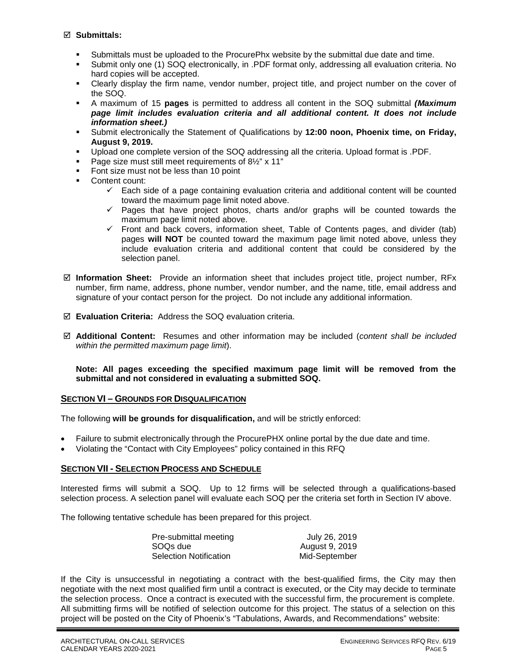#### **Submittals:**

- Submittals must be uploaded to the ProcurePhx website by the submittal due date and time.
- Submit only one (1) SOQ electronically, in .PDF format only, addressing all evaluation criteria. No hard copies will be accepted.
- Clearly display the firm name, vendor number, project title, and project number on the cover of the SOQ.
- A maximum of 15 **pages** is permitted to address all content in the SOQ submittal *(Maximum page limit includes evaluation criteria and all additional content. It does not include information sheet.)*
- Submit electronically the Statement of Qualifications by **12:00 noon, Phoenix time, on Friday, August 9, 2019.**
- Upload one complete version of the SOQ addressing all the criteria. Upload format is .PDF.
- Page size must still meet requirements of 8½" x 11"
- Font size must not be less than 10 point
- Content count:
	- $\checkmark$  Each side of a page containing evaluation criteria and additional content will be counted toward the maximum page limit noted above.
	- $\checkmark$  Pages that have project photos, charts and/or graphs will be counted towards the maximum page limit noted above.
	- $\checkmark$  Front and back covers, information sheet, Table of Contents pages, and divider (tab) pages **will NOT** be counted toward the maximum page limit noted above, unless they include evaluation criteria and additional content that could be considered by the selection panel.
- **Information Sheet:** Provide an information sheet that includes project title, project number, RFx number, firm name, address, phone number, vendor number, and the name, title, email address and signature of your contact person for the project. Do not include any additional information.
- **Evaluation Criteria:** Address the SOQ evaluation criteria.
- **Additional Content:** Resumes and other information may be included (*content shall be included within the permitted maximum page limit*).

**Note: All pages exceeding the specified maximum page limit will be removed from the submittal and not considered in evaluating a submitted SOQ.** 

#### **SECTION VI – GROUNDS FOR DISQUALIFICATION**

The following **will be grounds for disqualification,** and will be strictly enforced:

- Failure to submit electronically through the ProcurePHX online portal by the due date and time.
- Violating the "Contact with City Employees" policy contained in this RFQ

#### **SECTION VII - SELECTION PROCESS AND SCHEDULE**

Interested firms will submit a SOQ. Up to 12 firms will be selected through a qualifications-based selection process. A selection panel will evaluate each SOQ per the criteria set forth in Section IV above.

The following tentative schedule has been prepared for this project.

| Pre-submittal meeting         | July 26, 2019  |
|-------------------------------|----------------|
| SOQs due                      | August 9, 2019 |
| <b>Selection Notification</b> | Mid-September  |

If the City is unsuccessful in negotiating a contract with the best-qualified firms, the City may then negotiate with the next most qualified firm until a contract is executed, or the City may decide to terminate the selection process. Once a contract is executed with the successful firm, the procurement is complete. All submitting firms will be notified of selection outcome for this project. The status of a selection on this project will be posted on the City of Phoenix's "Tabulations, Awards, and Recommendations" website: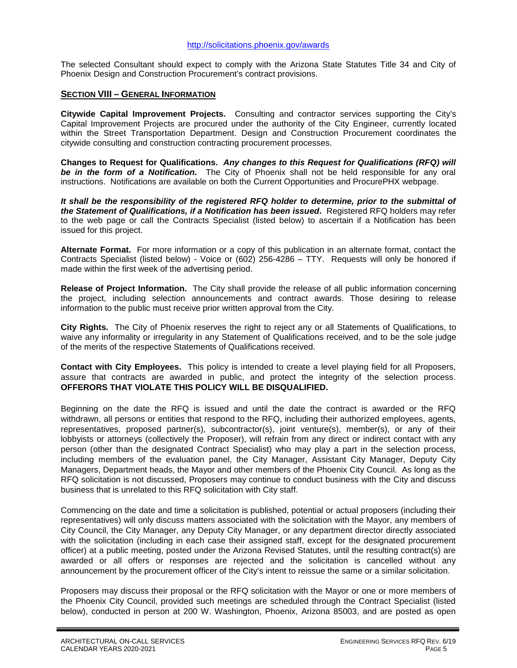The selected Consultant should expect to comply with the Arizona State Statutes Title 34 and City of Phoenix Design and Construction Procurement's contract provisions.

#### **SECTION VIII – GENERAL INFORMATION**

**Citywide Capital Improvement Projects.** Consulting and contractor services supporting the City's Capital Improvement Projects are procured under the authority of the City Engineer, currently located within the Street Transportation Department. Design and Construction Procurement coordinates the citywide consulting and construction contracting procurement processes.

**Changes to Request for Qualifications.** *Any changes to this Request for Qualifications (RFQ) will be in the form of a Notification.* The City of Phoenix shall not be held responsible for any oral instructions. Notifications are available on both the Current Opportunities and ProcurePHX webpage.

*It shall be the responsibility of the registered RFQ holder to determine, prior to the submittal of the Statement of Qualifications, if a Notification has been issued***.** Registered RFQ holders may refer to the web page or call the Contracts Specialist (listed below) to ascertain if a Notification has been issued for this project.

**Alternate Format.** For more information or a copy of this publication in an alternate format, contact the Contracts Specialist (listed below) - Voice or (602) 256-4286 – TTY. Requests will only be honored if made within the first week of the advertising period.

**Release of Project Information.** The City shall provide the release of all public information concerning the project, including selection announcements and contract awards. Those desiring to release information to the public must receive prior written approval from the City.

**City Rights.** The City of Phoenix reserves the right to reject any or all Statements of Qualifications, to waive any informality or irregularity in any Statement of Qualifications received, and to be the sole judge of the merits of the respective Statements of Qualifications received.

**Contact with City Employees.** This policy is intended to create a level playing field for all Proposers, assure that contracts are awarded in public, and protect the integrity of the selection process. **OFFERORS THAT VIOLATE THIS POLICY WILL BE DISQUALIFIED.**

Beginning on the date the RFQ is issued and until the date the contract is awarded or the RFQ withdrawn, all persons or entities that respond to the RFQ, including their authorized employees, agents, representatives, proposed partner(s), subcontractor(s), joint venture(s), member(s), or any of their lobbyists or attorneys (collectively the Proposer), will refrain from any direct or indirect contact with any person (other than the designated Contract Specialist) who may play a part in the selection process, including members of the evaluation panel, the City Manager, Assistant City Manager, Deputy City Managers, Department heads, the Mayor and other members of the Phoenix City Council. As long as the RFQ solicitation is not discussed, Proposers may continue to conduct business with the City and discuss business that is unrelated to this RFQ solicitation with City staff.

Commencing on the date and time a solicitation is published, potential or actual proposers (including their representatives) will only discuss matters associated with the solicitation with the Mayor, any members of City Council, the City Manager, any Deputy City Manager, or any department director directly associated with the solicitation (including in each case their assigned staff, except for the designated procurement officer) at a public meeting, posted under the Arizona Revised Statutes, until the resulting contract(s) are awarded or all offers or responses are rejected and the solicitation is cancelled without any announcement by the procurement officer of the City's intent to reissue the same or a similar solicitation.

Proposers may discuss their proposal or the RFQ solicitation with the Mayor or one or more members of the Phoenix City Council, provided such meetings are scheduled through the Contract Specialist (listed below), conducted in person at 200 W. Washington, Phoenix, Arizona 85003, and are posted as open